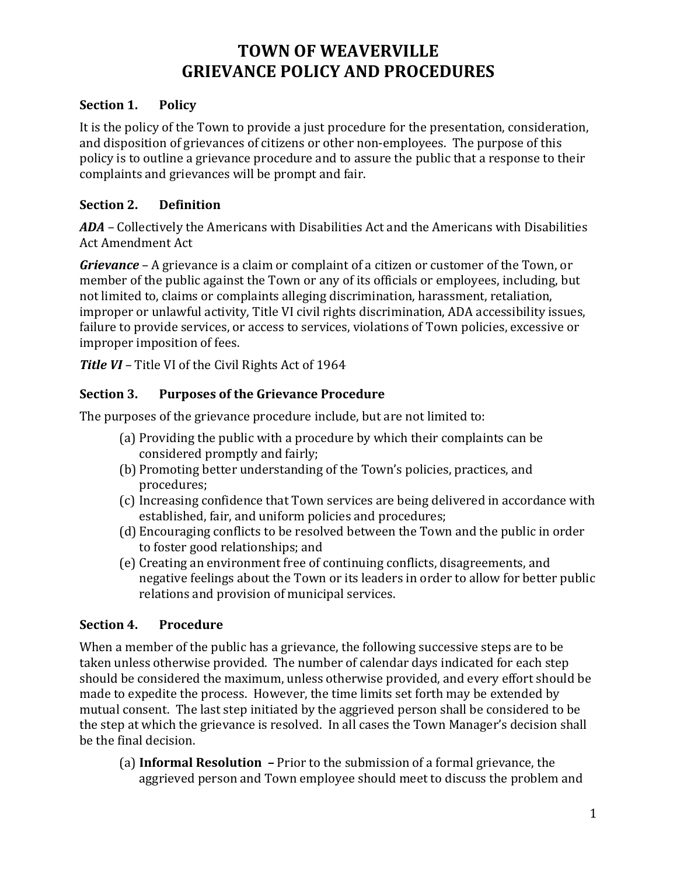# **TOWN OF WEAVERVILLE GRIEVANCE POLICY AND PROCEDURES**

#### **Section 1. Policy**

It is the policy of the Town to provide a just procedure for the presentation, consideration, and disposition of grievances of citizens or other non-employees. The purpose of this policy is to outline a grievance procedure and to assure the public that a response to their complaints and grievances will be prompt and fair.

### **Section 2. Definition**

*ADA –* Collectively the Americans with Disabilities Act and the Americans with Disabilities Act Amendment Act

*Grievance* – A grievance is a claim or complaint of a citizen or customer of the Town, or member of the public against the Town or any of its officials or employees, including, but not limited to, claims or complaints alleging discrimination, harassment, retaliation, improper or unlawful activity, Title VI civil rights discrimination, ADA accessibility issues, failure to provide services, or access to services, violations of Town policies, excessive or improper imposition of fees.

*Title VI –* Title VI of the Civil Rights Act of 1964

### **Section 3. Purposes of the Grievance Procedure**

The purposes of the grievance procedure include, but are not limited to:

- (a) Providing the public with a procedure by which their complaints can be considered promptly and fairly;
- (b) Promoting better understanding of the Town's policies, practices, and procedures;
- (c) Increasing confidence that Town services are being delivered in accordance with established, fair, and uniform policies and procedures;
- (d) Encouraging conflicts to be resolved between the Town and the public in order to foster good relationships; and
- (e) Creating an environment free of continuing conflicts, disagreements, and negative feelings about the Town or its leaders in order to allow for better public relations and provision of municipal services.

### **Section 4. Procedure**

When a member of the public has a grievance, the following successive steps are to be taken unless otherwise provided. The number of calendar days indicated for each step should be considered the maximum, unless otherwise provided, and every effort should be made to expedite the process. However, the time limits set forth may be extended by mutual consent. The last step initiated by the aggrieved person shall be considered to be the step at which the grievance is resolved. In all cases the Town Manager's decision shall be the final decision.

(a) **Informal Resolution –** Prior to the submission of a formal grievance, the aggrieved person and Town employee should meet to discuss the problem and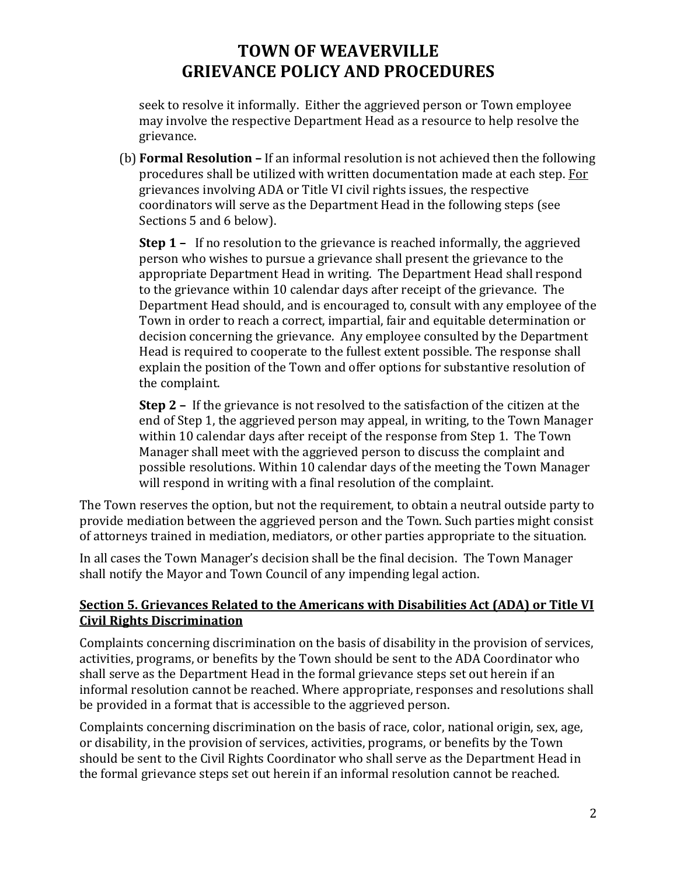# **TOWN OF WEAVERVILLE GRIEVANCE POLICY AND PROCEDURES**

seek to resolve it informally. Either the aggrieved person or Town employee may involve the respective Department Head as a resource to help resolve the grievance.

(b) **Formal Resolution –** If an informal resolution is not achieved then the following procedures shall be utilized with written documentation made at each step. For grievances involving ADA or Title VI civil rights issues, the respective coordinators will serve as the Department Head in the following steps (see Sections 5 and 6 below).

**Step 1 –** If no resolution to the grievance is reached informally, the aggrieved person who wishes to pursue a grievance shall present the grievance to the appropriate Department Head in writing. The Department Head shall respond to the grievance within 10 calendar days after receipt of the grievance. The Department Head should, and is encouraged to, consult with any employee of the Town in order to reach a correct, impartial, fair and equitable determination or decision concerning the grievance. Any employee consulted by the Department Head is required to cooperate to the fullest extent possible. The response shall explain the position of the Town and offer options for substantive resolution of the complaint.

**Step 2 –** If the grievance is not resolved to the satisfaction of the citizen at the end of Step 1, the aggrieved person may appeal, in writing, to the Town Manager within 10 calendar days after receipt of the response from Step 1. The Town Manager shall meet with the aggrieved person to discuss the complaint and possible resolutions. Within 10 calendar days of the meeting the Town Manager will respond in writing with a final resolution of the complaint.

The Town reserves the option, but not the requirement, to obtain a neutral outside party to provide mediation between the aggrieved person and the Town. Such parties might consist of attorneys trained in mediation, mediators, or other parties appropriate to the situation.

In all cases the Town Manager's decision shall be the final decision. The Town Manager shall notify the Mayor and Town Council of any impending legal action.

#### **Section 5. Grievances Related to the Americans with Disabilities Act (ADA) or Title VI Civil Rights Discrimination**

Complaints concerning discrimination on the basis of disability in the provision of services, activities, programs, or benefits by the Town should be sent to the ADA Coordinator who shall serve as the Department Head in the formal grievance steps set out herein if an informal resolution cannot be reached. Where appropriate, responses and resolutions shall be provided in a format that is accessible to the aggrieved person.

Complaints concerning discrimination on the basis of race, color, national origin, sex, age, or disability, in the provision of services, activities, programs, or benefits by the Town should be sent to the Civil Rights Coordinator who shall serve as the Department Head in the formal grievance steps set out herein if an informal resolution cannot be reached.